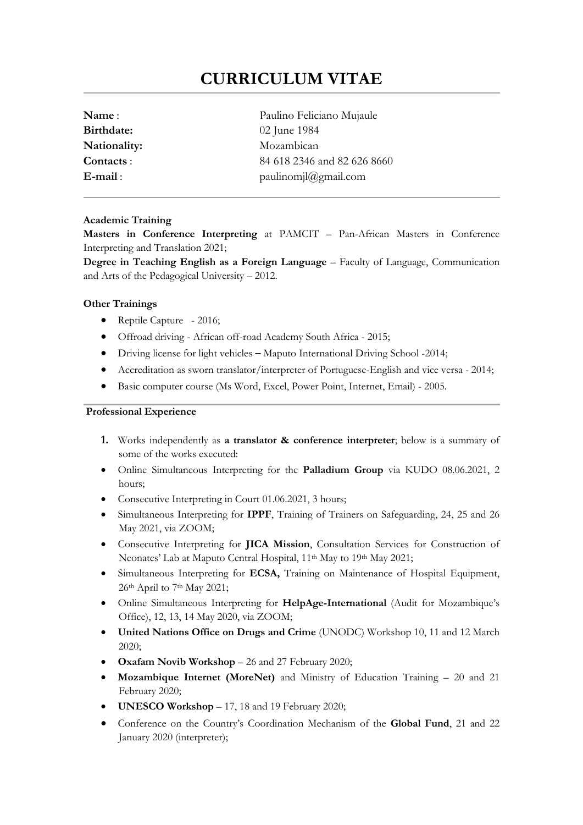# **CURRICULUM VITAE**

| Name:        | Paulino Feliciano Mujaule   |
|--------------|-----------------------------|
| Birthdate:   | 02 June 1984                |
| Nationality: | Mozambican                  |
| Contacts:    | 84 618 2346 and 82 626 8660 |
| $E$ -mail:   | paulinomj $a$ gmail.com     |
|              |                             |

### **Academic Training**

**Masters in Conference Interpreting** at PAMCIT – Pan-African Masters in Conference Interpreting and Translation 2021;

**Degree in Teaching English as a Foreign Language** – Faculty of Language, Communication and Arts of the Pedagogical University – 2012.

## **Other Trainings**

- Reptile Capture 2016;
- Offroad driving African off-road Academy South Africa 2015;
- Driving license for light vehicles **–** Maputo International Driving School -2014;
- Accreditation as sworn translator/interpreter of Portuguese-English and vice versa 2014;
- Basic computer course (Ms Word, Excel, Power Point, Internet, Email) 2005.

## **Professional Experience**

- **1.** Works independently as **a translator & conference interpreter**; below is a summary of some of the works executed:
- Online Simultaneous Interpreting for the **Palladium Group** via KUDO 08.06.2021, 2 hours;
- Consecutive Interpreting in Court 01.06.2021, 3 hours;
- Simultaneous Interpreting for **IPPF**, Training of Trainers on Safeguarding, 24, 25 and 26 May 2021, via ZOOM;
- Consecutive Interpreting for **JICA Mission**, Consultation Services for Construction of Neonates' Lab at Maputo Central Hospital, 11<sup>th</sup> May to 19<sup>th</sup> May 2021;
- Simultaneous Interpreting for **ECSA,** Training on Maintenance of Hospital Equipment, 26th April to 7th May 2021;
- Online Simultaneous Interpreting for **HelpAge-International** (Audit for Mozambique's Office), 12, 13, 14 May 2020, via ZOOM;
- **United Nations Office on Drugs and Crime** (UNODC) Workshop 10, 11 and 12 March 2020;
- **Oxafam Novib Workshop** 26 and 27 February 2020;
- **Mozambique Internet (MoreNet)** and Ministry of Education Training 20 and 21 February 2020;
- **UNESCO Workshop**  $-17$ , 18 and 19 February 2020;
- Conference on the Country's Coordination Mechanism of the **Global Fund**, 21 and 22 January 2020 (interpreter);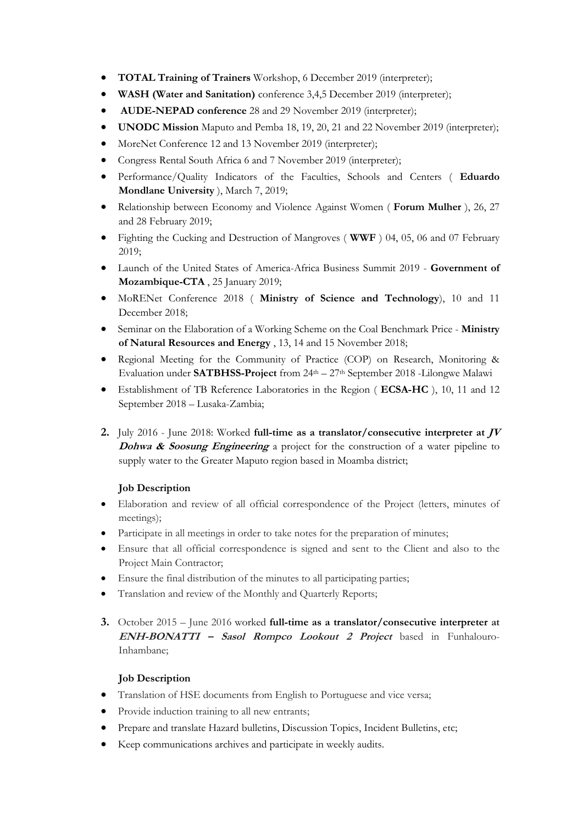- **TOTAL Training of Trainers** Workshop, 6 December 2019 (interpreter);
- **WASH (Water and Sanitation)** conference 3,4,5 December 2019 (interpreter);
- **AUDE-NEPAD conference** 28 and 29 November 2019 (interpreter);
- **UNODC Mission** Maputo and Pemba 18, 19, 20, 21 and 22 November 2019 (interpreter);
- MoreNet Conference 12 and 13 November 2019 (interpreter);
- Congress Rental South Africa 6 and 7 November 2019 (interpreter);
- Performance/Quality Indicators of the Faculties, Schools and Centers ( **Eduardo Mondlane University** ), March 7, 2019;
- Relationship between Economy and Violence Against Women ( **Forum Mulher** ), 26, 27 and 28 February 2019;
- Fighting the Cucking and Destruction of Mangroves ( **WWF** ) 04, 05, 06 and 07 February 2019;
- Launch of the United States of America-Africa Business Summit 2019 **Government of Mozambique-CTA** , 25 January 2019;
- MoRENet Conference 2018 ( **Ministry of Science and Technology**), 10 and 11 December 2018;
- Seminar on the Elaboration of a Working Scheme on the Coal Benchmark Price **Ministry of Natural Resources and Energy** , 13, 14 and 15 November 2018;
- Regional Meeting for the Community of Practice (COP) on Research, Monitoring & Evaluation under **SATBHSS-Project** from 24th – 27th September 2018 -Lilongwe Malawi
- Establishment of TB Reference Laboratories in the Region ( **ECSA-HC** ), 10, 11 and 12 September 2018 – Lusaka-Zambia;
- **2.** July 2016 June 2018: Worked **full-time as a translator/consecutive interpreter at JV Dohwa & Soosung Engineering** a project for the construction of a water pipeline to supply water to the Greater Maputo region based in Moamba district;

# **Job Description**

- Elaboration and review of all official correspondence of the Project (letters, minutes of meetings);
- Participate in all meetings in order to take notes for the preparation of minutes;
- Ensure that all official correspondence is signed and sent to the Client and also to the Project Main Contractor;
- Ensure the final distribution of the minutes to all participating parties;
- Translation and review of the Monthly and Quarterly Reports;
- **3.** October 2015 June 2016 worked **full-time as a translator/consecutive interpreter at ENH-BONATTI – Sasol Rompco Lookout 2 Project** based in Funhalouro-Inhambane;

## **Job Description**

- Translation of HSE documents from English to Portuguese and vice versa;
- Provide induction training to all new entrants;
- Prepare and translate Hazard bulletins, Discussion Topics, Incident Bulletins, etc;
- Keep communications archives and participate in weekly audits.